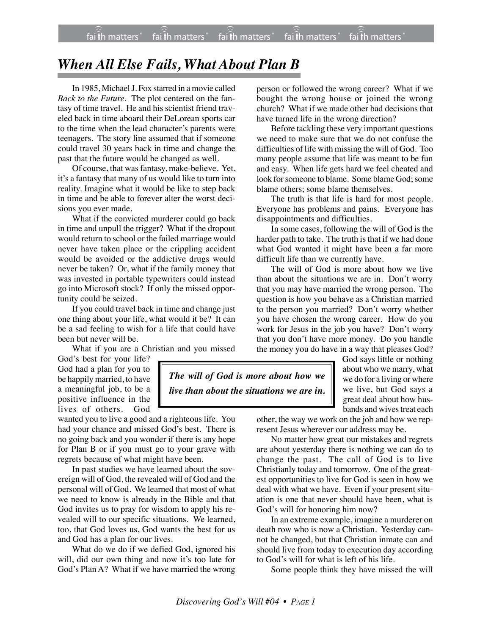## *When All Else Fails, What About Plan B*

In 1985, Michael J. Fox starred in a movie called *Back to the Future*. The plot centered on the fantasy of time travel. He and his scientist friend traveled back in time aboard their DeLorean sports car to the time when the lead character's parents were teenagers. The story line assumed that if someone could travel 30 years back in time and change the past that the future would be changed as well.

Of course, that was fantasy, make-believe. Yet, it's a fantasy that many of us would like to turn into reality. Imagine what it would be like to step back in time and be able to forever alter the worst decisions you ever made.

What if the convicted murderer could go back in time and unpull the trigger? What if the dropout would return to school or the failed marriage would never have taken place or the crippling accident would be avoided or the addictive drugs would never be taken? Or, what if the family money that was invested in portable typewriters could instead go into Microsoft stock? If only the missed opportunity could be seized.

If you could travel back in time and change just one thing about your life, what would it be? It can be a sad feeling to wish for a life that could have been but never will be.

What if you are a Christian and you missed

God's best for your life? God had a plan for you to be happily married, to have a meaningful job, to be a positive influence in the lives of others. God

wanted you to live a good and a righteous life. You had your chance and missed God's best. There is no going back and you wonder if there is any hope for Plan B or if you must go to your grave with regrets because of what might have been.

In past studies we have learned about the sovereign will of God, the revealed will of God and the personal will of God. We learned that most of what we need to know is already in the Bible and that God invites us to pray for wisdom to apply his revealed will to our specific situations. We learned, too, that God loves us, God wants the best for us and God has a plan for our lives.

What do we do if we defied God, ignored his will, did our own thing and now it's too late for God's Plan A? What if we have married the wrong

person or followed the wrong career? What if we bought the wrong house or joined the wrong church? What if we made other bad decisions that have turned life in the wrong direction?

Before tackling these very important questions we need to make sure that we do not confuse the difficulties of life with missing the will of God. Too many people assume that life was meant to be fun and easy. When life gets hard we feel cheated and look for someone to blame. Some blame God; some blame others; some blame themselves.

The truth is that life is hard for most people. Everyone has problems and pains. Everyone has disappointments and difficulties.

In some cases, following the will of God is the harder path to take. The truth is that if we had done what God wanted it might have been a far more difficult life than we currently have.

The will of God is more about how we live than about the situations we are in. Don't worry that you may have married the wrong person. The question is how you behave as a Christian married to the person you married? Don't worry whether you have chosen the wrong career. How do you work for Jesus in the job you have? Don't worry that you don't have more money. Do you handle the money you do have in a way that pleases God?

*The will of God is more about how we live than about the situations we are in.*

God says little or nothing about who we marry, what we do for a living or where we live, but God says a great deal about how husbands and wives treat each

other, the way we work on the job and how we represent Jesus wherever our address may be.

No matter how great our mistakes and regrets are about yesterday there is nothing we can do to change the past. The call of God is to live Christianly today and tomorrow. One of the greatest opportunities to live for God is seen in how we deal with what we have. Even if your present situation is one that never should have been, what is God's will for honoring him now?

In an extreme example, imagine a murderer on death row who is now a Christian. Yesterday cannot be changed, but that Christian inmate can and should live from today to execution day according to God's will for what is left of his life.

Some people think they have missed the will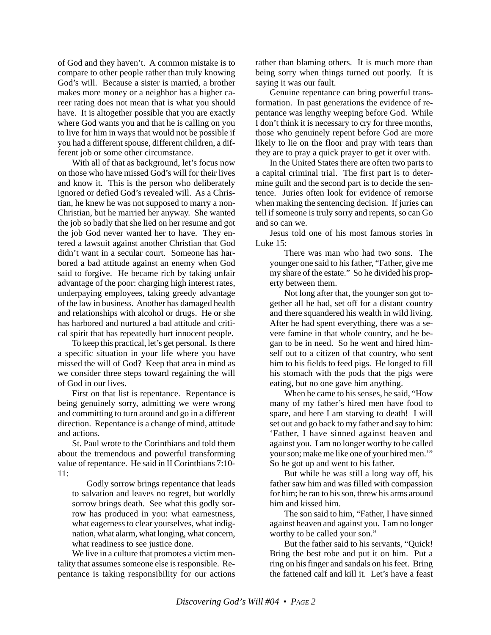of God and they haven't. A common mistake is to compare to other people rather than truly knowing God's will. Because a sister is married, a brother makes more money or a neighbor has a higher career rating does not mean that is what you should have. It is altogether possible that you are exactly where God wants you and that he is calling on you to live for him in ways that would not be possible if you had a different spouse, different children, a different job or some other circumstance.

With all of that as background, let's focus now on those who have missed God's will for their lives and know it. This is the person who deliberately ignored or defied God's revealed will. As a Christian, he knew he was not supposed to marry a non-Christian, but he married her anyway. She wanted the job so badly that she lied on her resume and got the job God never wanted her to have. They entered a lawsuit against another Christian that God didn't want in a secular court. Someone has harbored a bad attitude against an enemy when God said to forgive. He became rich by taking unfair advantage of the poor: charging high interest rates, underpaying employees, taking greedy advantage of the law in business. Another has damaged health and relationships with alcohol or drugs. He or she has harbored and nurtured a bad attitude and critical spirit that has repeatedly hurt innocent people.

To keep this practical, let's get personal. Is there a specific situation in your life where you have missed the will of God? Keep that area in mind as we consider three steps toward regaining the will of God in our lives.

First on that list is repentance. Repentance is being genuinely sorry, admitting we were wrong and committing to turn around and go in a different direction. Repentance is a change of mind, attitude and actions.

St. Paul wrote to the Corinthians and told them about the tremendous and powerful transforming value of repentance. He said in II Corinthians 7:10- 11:

Godly sorrow brings repentance that leads to salvation and leaves no regret, but worldly sorrow brings death. See what this godly sorrow has produced in you: what earnestness, what eagerness to clear yourselves, what indignation, what alarm, what longing, what concern, what readiness to see justice done.

We live in a culture that promotes a victim mentality that assumes someone else is responsible. Repentance is taking responsibility for our actions rather than blaming others. It is much more than being sorry when things turned out poorly. It is saying it was our fault.

Genuine repentance can bring powerful transformation. In past generations the evidence of repentance was lengthy weeping before God. While I don't think it is necessary to cry for three months, those who genuinely repent before God are more likely to lie on the floor and pray with tears than they are to pray a quick prayer to get it over with.

In the United States there are often two parts to a capital criminal trial. The first part is to determine guilt and the second part is to decide the sentence. Juries often look for evidence of remorse when making the sentencing decision. If juries can tell if someone is truly sorry and repents, so can Go and so can we.

Jesus told one of his most famous stories in Luke 15:

There was man who had two sons. The younger one said to his father, "Father, give me my share of the estate." So he divided his property between them.

Not long after that, the younger son got together all he had, set off for a distant country and there squandered his wealth in wild living. After he had spent everything, there was a severe famine in that whole country, and he began to be in need. So he went and hired himself out to a citizen of that country, who sent him to his fields to feed pigs. He longed to fill his stomach with the pods that the pigs were eating, but no one gave him anything.

When he came to his senses, he said, "How many of my father's hired men have food to spare, and here I am starving to death! I will set out and go back to my father and say to him: 'Father, I have sinned against heaven and against you. I am no longer worthy to be called your son; make me like one of your hired men.'" So he got up and went to his father.

But while he was still a long way off, his father saw him and was filled with compassion for him; he ran to his son, threw his arms around him and kissed him.

The son said to him, "Father, I have sinned against heaven and against you. I am no longer worthy to be called your son."

But the father said to his servants, "Quick! Bring the best robe and put it on him. Put a ring on his finger and sandals on his feet. Bring the fattened calf and kill it. Let's have a feast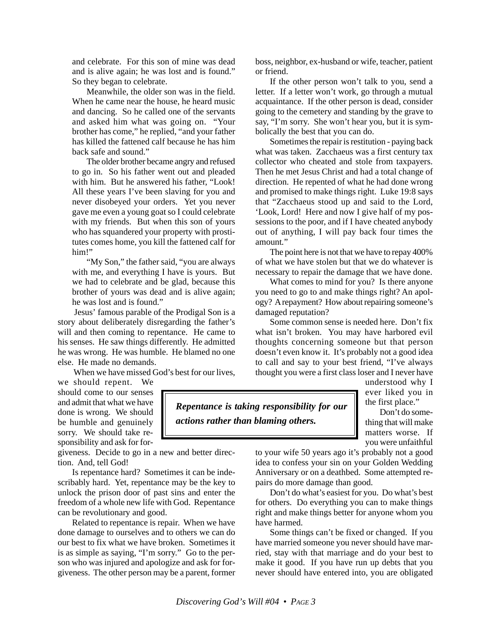and celebrate. For this son of mine was dead and is alive again; he was lost and is found." So they began to celebrate.

Meanwhile, the older son was in the field. When he came near the house, he heard music and dancing. So he called one of the servants and asked him what was going on. "Your brother has come," he replied, "and your father has killed the fattened calf because he has him back safe and sound."

The older brother became angry and refused to go in. So his father went out and pleaded with him. But he answered his father, "Look! All these years I've been slaving for you and never disobeyed your orders. Yet you never gave me even a young goat so I could celebrate with my friends. But when this son of yours who has squandered your property with prostitutes comes home, you kill the fattened calf for him!"

"My Son," the father said, "you are always with me, and everything I have is yours. But we had to celebrate and be glad, because this brother of yours was dead and is alive again; he was lost and is found."

Jesus' famous parable of the Prodigal Son is a story about deliberately disregarding the father's will and then coming to repentance. He came to his senses. He saw things differently. He admitted he was wrong. He was humble. He blamed no one else. He made no demands.

When we have missed God's best for our lives,

we should repent. We should come to our senses and admit that what we have done is wrong. We should be humble and genuinely sorry. We should take responsibility and ask for for-

giveness. Decide to go in a new and better direction. And, tell God!

Is repentance hard? Sometimes it can be indescribably hard. Yet, repentance may be the key to unlock the prison door of past sins and enter the freedom of a whole new life with God. Repentance can be revolutionary and good.

Related to repentance is repair. When we have done damage to ourselves and to others we can do our best to fix what we have broken. Sometimes it is as simple as saying, "I'm sorry." Go to the person who was injured and apologize and ask for forgiveness. The other person may be a parent, former boss, neighbor, ex-husband or wife, teacher, patient or friend.

If the other person won't talk to you, send a letter. If a letter won't work, go through a mutual acquaintance. If the other person is dead, consider going to the cemetery and standing by the grave to say, "I'm sorry. She won't hear you, but it is symbolically the best that you can do.

Sometimes the repair is restitution - paying back what was taken. Zacchaeus was a first century tax collector who cheated and stole from taxpayers. Then he met Jesus Christ and had a total change of direction. He repented of what he had done wrong and promised to make things right. Luke 19:8 says that "Zacchaeus stood up and said to the Lord, 'Look, Lord! Here and now I give half of my possessions to the poor, and if I have cheated anybody out of anything, I will pay back four times the amount*.*"

The point here is not that we have to repay 400% of what we have stolen but that we do whatever is necessary to repair the damage that we have done.

What comes to mind for you? Is there anyone you need to go to and make things right? An apology? A repayment? How about repairing someone's damaged reputation?

Some common sense is needed here. Don't fix what isn't broken. You may have harbored evil thoughts concerning someone but that person doesn't even know it. It's probably not a good idea to call and say to your best friend, "I've always thought you were a first class loser and I never have

> understood why I ever liked you in the first place."

*Repentance is taking responsibility for our actions rather than blaming others.*

Don't do something that will make matters worse. If you were unfaithful

to your wife 50 years ago it's probably not a good idea to confess your sin on your Golden Wedding Anniversary or on a deathbed. Some attempted repairs do more damage than good.

Don't do what's easiest for you. Do what's best for others. Do everything you can to make things right and make things better for anyone whom you have harmed.

Some things can't be fixed or changed. If you have married someone you never should have married, stay with that marriage and do your best to make it good. If you have run up debts that you never should have entered into, you are obligated